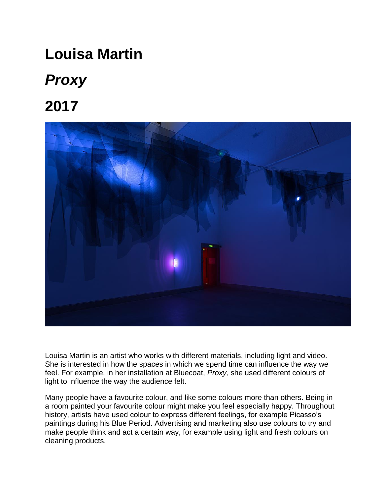# **Louisa Martin**

# *Proxy*

**2017** 



Louisa Martin is an artist who works with different materials, including light and video. She is interested in how the spaces in which we spend time can influence the way we feel. For example, in her installation at Bluecoat, *Proxy,* she used different colours of light to influence the way the audience felt.

Many people have a favourite colour, and like some colours more than others. Being in a room painted your favourite colour might make you feel especially happy. Throughout history, artists have used colour to express different feelings, for example Picasso's paintings during his Blue Period. Advertising and marketing also use colours to try and make people think and act a certain way, for example using light and fresh colours on cleaning products.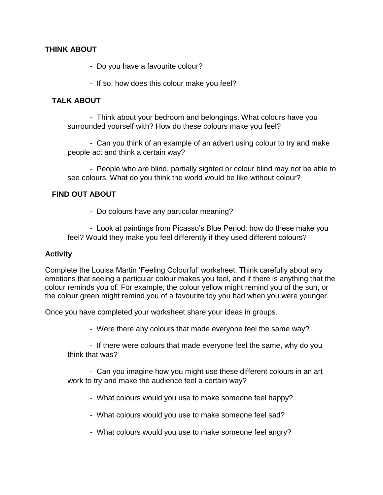#### **THINK ABOUT**

- Do you have a favourite colour?

- If so, how does this colour make you feel?

# **TALK ABOUT**

- Think about your bedroom and belongings. What colours have you surrounded yourself with? How do these colours make you feel?

- Can you think of an example of an advert using colour to try and make people act and think a certain way?

- People who are blind, partially sighted or colour blind may not be able to see colours. What do you think the world would be like without colour?

## **FIND OUT ABOUT**

- Do colours have any particular meaning?

- Look at paintings from Picasso's Blue Period: how do these make you feel? Would they make you feel differently if they used different colours?

### **Activity**

Complete the Louisa Martin 'Feeling Colourful' worksheet. Think carefully about any emotions that seeing a particular colour makes you feel, and if there is anything that the colour reminds you of. For example, the colour yellow might remind you of the sun, or the colour green might remind you of a favourite toy you had when you were younger.

Once you have completed your worksheet share your ideas in groups.

- Were there any colours that made everyone feel the same way?

- If there were colours that made everyone feel the same, why do you think that was?

- Can you imagine how you might use these different colours in an art work to try and make the audience feel a certain way?

- What colours would you use to make someone feel happy?

- What colours would you use to make someone feel sad?

- What colours would you use to make someone feel angry?